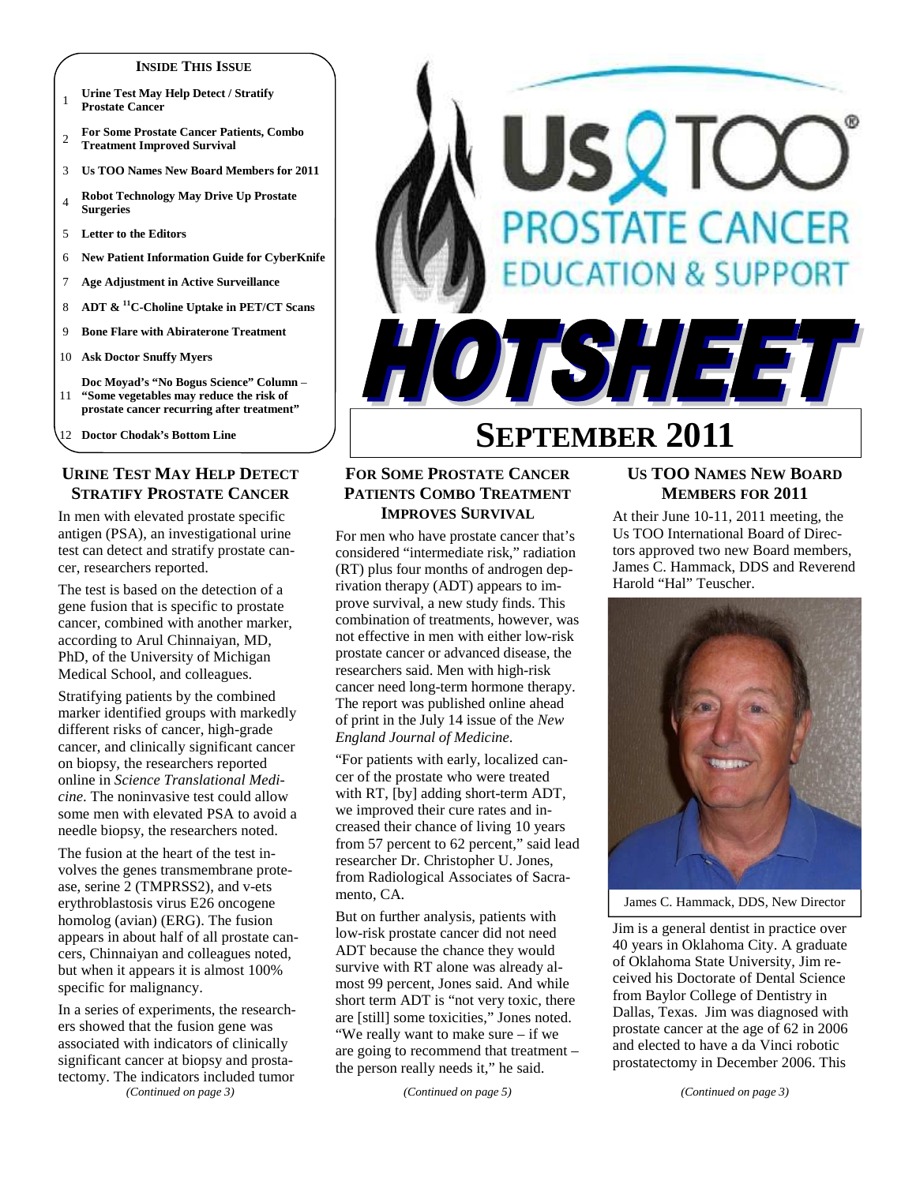#### **INSIDE THIS ISSUE**

- <sup>1</sup>**Urine Test May Help Detect / Stratify Prostate Cancer**
- <sup>2</sup>**For Some Prostate Cancer Patients, Combo Treatment Improved Survival**
- 3 **Us TOO Names New Board Members for 2011**
- <sup>4</sup>**Robot Technology May Drive Up Prostate Surgeries**
- 5 **Letter to the Editors**
- 6 **New Patient Information Guide for CyberKnife**
- 7 **Age Adjustment in Active Surveillance**
- 8 **ADT & <sup>11</sup>C-Choline Uptake in PET/CT Scans**
- 9 **Bone Flare with Abiraterone Treatment**
- 10 **Ask Doctor Snuffy Myers**
- 11 **Doc Moyad's "No Bogus Science" Column** – **"Some vegetables may reduce the risk of prostate cancer recurring after treatment"**
- 12 **Doctor Chodak's Bottom Line**

# **URINE TEST MAY HELP DETECT STRATIFY PROSTATE CANCER**

In men with elevated prostate specific antigen (PSA), an investigational urine test can detect and stratify prostate cancer, researchers reported.

The test is based on the detection of a gene fusion that is specific to prostate cancer, combined with another marker, according to Arul Chinnaiyan, MD, PhD, of the University of Michigan Medical School, and colleagues.

Stratifying patients by the combined marker identified groups with markedly different risks of cancer, high-grade cancer, and clinically significant cancer on biopsy, the researchers reported online in *Science Translational Medicine*. The noninvasive test could allow some men with elevated PSA to avoid a needle biopsy, the researchers noted.

The fusion at the heart of the test involves the genes transmembrane protease, serine 2 (TMPRSS2), and v-ets erythroblastosis virus E26 oncogene homolog (avian) (ERG). The fusion appears in about half of all prostate cancers, Chinnaiyan and colleagues noted, but when it appears it is almost 100% specific for malignancy.

In a series of experiments, the researchers showed that the fusion gene was associated with indicators of clinically significant cancer at biopsy and prostatectomy. The indicators included tumor

*(Continued on page 3)* 

# SQTC **PROSTATE CANCER ATION & SUPPORT** TSHEET

# **SEPTEMBER 2011**

# **FOR SOME PROSTATE CANCER PATIENTS COMBO TREATMENT IMPROVES SURVIVAL**

For men who have prostate cancer that's considered "intermediate risk," radiation (RT) plus four months of androgen deprivation therapy (ADT) appears to improve survival, a new study finds. This combination of treatments, however, was not effective in men with either low-risk prostate cancer or advanced disease, the researchers said. Men with high-risk cancer need long-term hormone therapy. The report was published online ahead of print in the July 14 issue of the *New England Journal of Medicine*.

"For patients with early, localized cancer of the prostate who were treated with RT, [by] adding short-term ADT, we improved their cure rates and increased their chance of living 10 years from 57 percent to 62 percent," said lead researcher Dr. Christopher U. Jones, from Radiological Associates of Sacramento, CA.

But on further analysis, patients with low-risk prostate cancer did not need ADT because the chance they would survive with RT alone was already almost 99 percent, Jones said. And while short term ADT is "not very toxic, there are [still] some toxicities," Jones noted. "We really want to make sure – if we are going to recommend that treatment – the person really needs it," he said.

*(Continued on page 5)* 

# **US TOO NAMES NEW BOARD MEMBERS FOR 2011**

At their June 10-11, 2011 meeting, the Us TOO International Board of Directors approved two new Board members, James C. Hammack, DDS and Reverend Harold "Hal" Teuscher.



James C. Hammack, DDS, New Director

Jim is a general dentist in practice over 40 years in Oklahoma City. A graduate of Oklahoma State University, Jim received his Doctorate of Dental Science from Baylor College of Dentistry in Dallas, Texas. Jim was diagnosed with prostate cancer at the age of 62 in 2006 and elected to have a da Vinci robotic prostatectomy in December 2006. This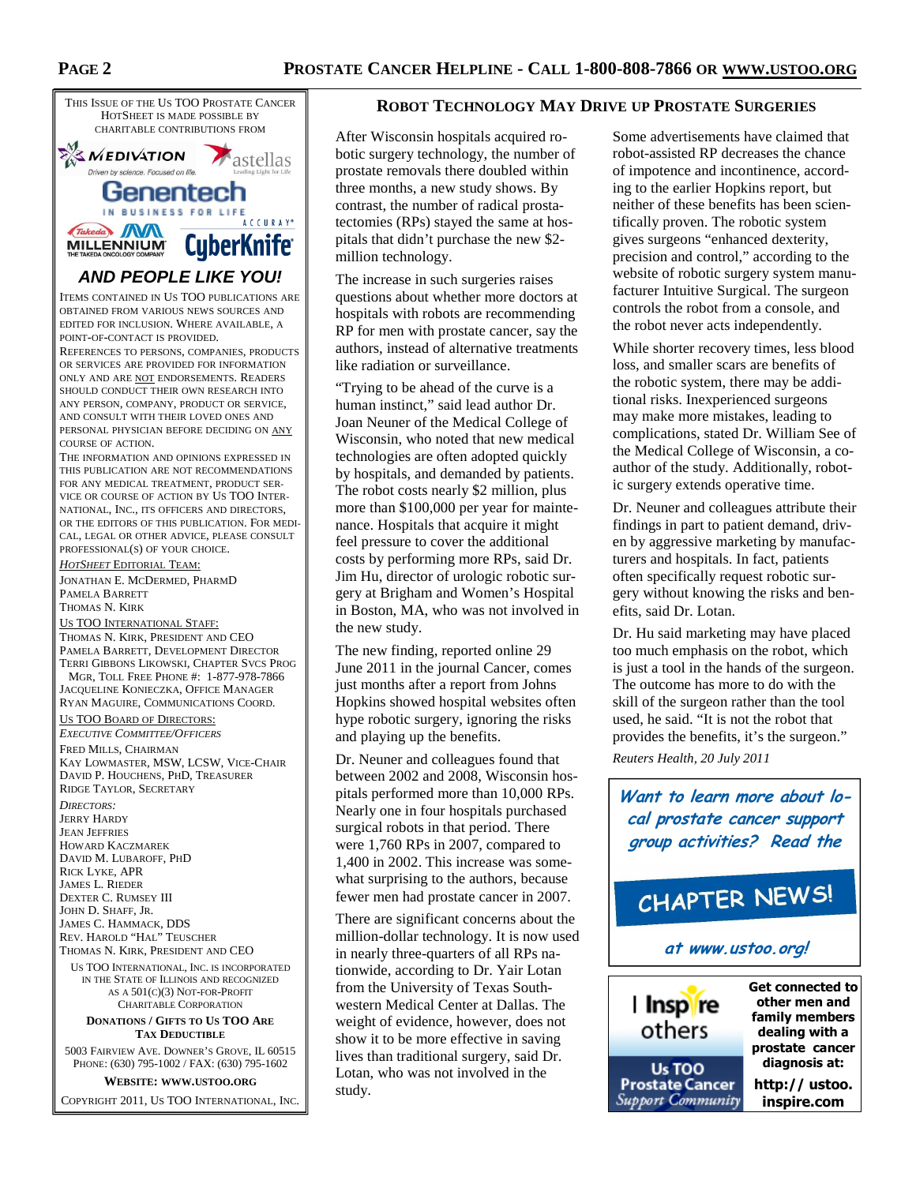

# **AND PEOPLE LIKE YOU!**

ITEMS CONTAINED IN US TOO PUBLICATIONS ARE OBTAINED FROM VARIOUS NEWS SOURCES AND EDITED FOR INCLUSION. WHERE AVAILABLE, A POINT-OF-CONTACT IS PROVIDED.

REFERENCES TO PERSONS, COMPANIES, PRODUCTS OR SERVICES ARE PROVIDED FOR INFORMATION ONLY AND ARE NOT ENDORSEMENTS. READERS SHOULD CONDUCT THEIR OWN RESEARCH INTO ANY PERSON, COMPANY, PRODUCT OR SERVICE, AND CONSULT WITH THEIR LOVED ONES AND PERSONAL PHYSICIAN BEFORE DECIDING ON ANY COURSE OF ACTION.

THE INFORMATION AND OPINIONS EXPRESSED IN THIS PUBLICATION ARE NOT RECOMMENDATIONS FOR ANY MEDICAL TREATMENT, PRODUCT SER-VICE OR COURSE OF ACTION BY US TOO INTER-NATIONAL, INC., ITS OFFICERS AND DIRECTORS, OR THE EDITORS OF THIS PUBLICATION. FOR MEDI-CAL, LEGAL OR OTHER ADVICE, PLEASE CONSULT PROFESSIONAL(S) OF YOUR CHOICE.

#### *HOTSHEET* EDITORIAL TEAM:

JONATHAN E. MCDERMED, PHARMD PAMELA BARRETT THOMAS N. KIRK

#### US TOO INTERNATIONAL STAFF:

THOMAS N. KIRK, PRESIDENT AND CEO PAMELA BARRETT, DEVELOPMENT DIRECTOR TERRI GIBBONS LIKOWSKI, CHAPTER SVCS PROG

 MGR, TOLL FREE PHONE #: 1-877-978-7866 JACQUELINE KONIECZKA, OFFICE MANAGER RYAN MAGUIRE, COMMUNICATIONS COORD.

# US TOO BOARD OF DIRECTORS:

*EXECUTIVE COMMITTEE/OFFICERS* FRED MILLS, CHAIRMAN KAY LOWMASTER, MSW, LCSW, VICE-CHAIR DAVID P. HOUCHENS, PHD, TREASURER RIDGE TAYLOR, SECRETARY

*DIRECTORS:*  JERRY HARDY JEAN JEFFRIES HOWARD KACZMAREK DAVID M. LUBAROFF, PHD RICK LYKE, APR JAMES L. RIEDER DEXTER C. RUMSEY III JOHN D. SHAFF, JR. JAMES C. HAMMACK, DDS REV. HAROLD "HAL" TEUSCHER THOMAS N. KIRK, PRESIDENT AND CEO

US TOO INTERNATIONAL, INC. IS INCORPORATED IN THE STATE OF ILLINOIS AND RECOGNIZED AS A 501(C)(3) NOT-FOR-PROFIT CHARITABLE CORPORATION

#### **DONATIONS / GIFTS TO US TOO ARE TAX DEDUCTIBLE**

5003 FAIRVIEW AVE. DOWNER'S GROVE, IL 60515 PHONE: (630) 795-1002 / FAX: (630) 795-1602

#### **WEBSITE: WWW.USTOO.ORG**

COPYRIGHT 2011, US TOO INTERNATIONAL, INC.

#### **ROBOT TECHNOLOGY MAY DRIVE UP PROSTATE SURGERIES**

After Wisconsin hospitals acquired robotic surgery technology, the number of prostate removals there doubled within three months, a new study shows. By contrast, the number of radical prostatectomies (RPs) stayed the same at hospitals that didn't purchase the new \$2 million technology.

The increase in such surgeries raises questions about whether more doctors at hospitals with robots are recommending RP for men with prostate cancer, say the authors, instead of alternative treatments like radiation or surveillance.

"Trying to be ahead of the curve is a human instinct," said lead author Dr. Joan Neuner of the Medical College of Wisconsin, who noted that new medical technologies are often adopted quickly by hospitals, and demanded by patients. The robot costs nearly \$2 million, plus more than \$100,000 per year for maintenance. Hospitals that acquire it might feel pressure to cover the additional costs by performing more RPs, said Dr. Jim Hu, director of urologic robotic surgery at Brigham and Women's Hospital in Boston, MA, who was not involved in the new study.

The new finding, reported online 29 June 2011 in the journal Cancer, comes just months after a report from Johns Hopkins showed hospital websites often hype robotic surgery, ignoring the risks and playing up the benefits.

Dr. Neuner and colleagues found that between 2002 and 2008, Wisconsin hospitals performed more than 10,000 RPs. Nearly one in four hospitals purchased surgical robots in that period. There were 1,760 RPs in 2007, compared to 1,400 in 2002. This increase was somewhat surprising to the authors, because fewer men had prostate cancer in 2007.

There are significant concerns about the million-dollar technology. It is now used in nearly three-quarters of all RPs nationwide, according to Dr. Yair Lotan from the University of Texas Southwestern Medical Center at Dallas. The weight of evidence, however, does not show it to be more effective in saving lives than traditional surgery, said Dr. Lotan, who was not involved in the study.

Some advertisements have claimed that robot-assisted RP decreases the chance of impotence and incontinence, according to the earlier Hopkins report, but neither of these benefits has been scientifically proven. The robotic system gives surgeons "enhanced dexterity, precision and control," according to the website of robotic surgery system manufacturer Intuitive Surgical. The surgeon controls the robot from a console, and the robot never acts independently.

While shorter recovery times, less blood loss, and smaller scars are benefits of the robotic system, there may be additional risks. Inexperienced surgeons may make more mistakes, leading to complications, stated Dr. William See of the Medical College of Wisconsin, a coauthor of the study. Additionally, robotic surgery extends operative time.

Dr. Neuner and colleagues attribute their findings in part to patient demand, driven by aggressive marketing by manufacturers and hospitals. In fact, patients often specifically request robotic surgery without knowing the risks and benefits, said Dr. Lotan.

Dr. Hu said marketing may have placed too much emphasis on the robot, which is just a tool in the hands of the surgeon. The outcome has more to do with the skill of the surgeon rather than the tool used, he said. "It is not the robot that provides the benefits, it's the surgeon." *Reuters Health, 20 July 2011* 

**Want to learn more about local prostate cancer support group activities? Read the**

# CHAPTER NEWS!

#### **at www.ustoo.org!**

I Inspire others Us TOO **Prostate Cancer** Support Community **Get connected to other men and family members dealing with a prostate cancer diagnosis at:**

**http:// ustoo. inspire.com**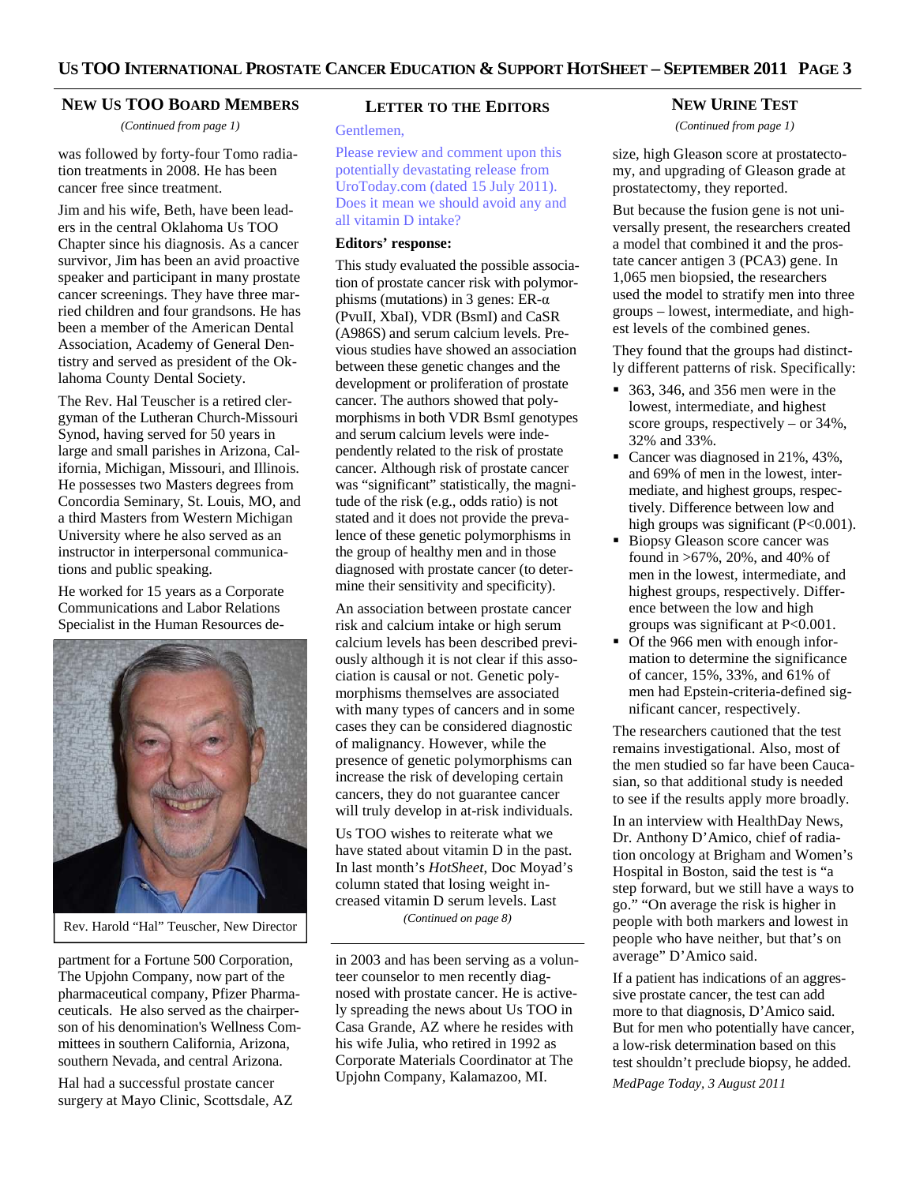#### **NEW US TOO BOARD MEMBERS**

*(Continued from page 1)* 

was followed by forty-four Tomo radiation treatments in 2008. He has been cancer free since treatment.

Jim and his wife, Beth, have been leaders in the central Oklahoma Us TOO Chapter since his diagnosis. As a cancer survivor, Jim has been an avid proactive speaker and participant in many prostate cancer screenings. They have three married children and four grandsons. He has been a member of the American Dental Association, Academy of General Dentistry and served as president of the Oklahoma County Dental Society.

The Rev. Hal Teuscher is a retired clergyman of the Lutheran Church-Missouri Synod, having served for 50 years in large and small parishes in Arizona, California, Michigan, Missouri, and Illinois. He possesses two Masters degrees from Concordia Seminary, St. Louis, MO, and a third Masters from Western Michigan University where he also served as an instructor in interpersonal communications and public speaking.

He worked for 15 years as a Corporate Communications and Labor Relations Specialist in the Human Resources de-



Rev. Harold "Hal" Teuscher, New Director

partment for a Fortune 500 Corporation, The Upjohn Company, now part of the pharmaceutical company, Pfizer Pharmaceuticals. He also served as the chairperson of his denomination's Wellness Committees in southern California, Arizona, southern Nevada, and central Arizona.

Hal had a successful prostate cancer surgery at Mayo Clinic, Scottsdale, AZ

#### **LETTER TO THE EDITORS**

Gentlemen,

Please review and comment upon this potentially devastating release from UroToday.com (dated 15 July 2011). Does it mean we should avoid any and all vitamin D intake?

#### **Editors' response:**

This study evaluated the possible association of prostate cancer risk with polymorphisms (mutations) in 3 genes:  $ER-\alpha$ (PvuII, XbaI), VDR (BsmI) and CaSR (A986S) and serum calcium levels. Previous studies have showed an association between these genetic changes and the development or proliferation of prostate cancer. The authors showed that polymorphisms in both VDR BsmI genotypes and serum calcium levels were independently related to the risk of prostate cancer. Although risk of prostate cancer was "significant" statistically, the magnitude of the risk (e.g., odds ratio) is not stated and it does not provide the prevalence of these genetic polymorphisms in the group of healthy men and in those diagnosed with prostate cancer (to determine their sensitivity and specificity).

An association between prostate cancer risk and calcium intake or high serum calcium levels has been described previously although it is not clear if this association is causal or not. Genetic polymorphisms themselves are associated with many types of cancers and in some cases they can be considered diagnostic of malignancy. However, while the presence of genetic polymorphisms can increase the risk of developing certain cancers, they do not guarantee cancer will truly develop in at-risk individuals.

Us TOO wishes to reiterate what we have stated about vitamin D in the past. In last month's *HotSheet*, Doc Moyad's column stated that losing weight increased vitamin D serum levels. Last *(Continued on page 8)* 

in 2003 and has been serving as a volunteer counselor to men recently diagnosed with prostate cancer. He is actively spreading the news about Us TOO in Casa Grande, AZ where he resides with his wife Julia, who retired in 1992 as Corporate Materials Coordinator at The Upjohn Company, Kalamazoo, MI.

#### **NEW URINE TEST**

*(Continued from page 1)* 

size, high Gleason score at prostatectomy, and upgrading of Gleason grade at prostatectomy, they reported.

But because the fusion gene is not universally present, the researchers created a model that combined it and the prostate cancer antigen 3 (PCA3) gene. In 1,065 men biopsied, the researchers used the model to stratify men into three groups – lowest, intermediate, and highest levels of the combined genes.

They found that the groups had distinctly different patterns of risk. Specifically:

- 363, 346, and 356 men were in the lowest, intermediate, and highest score groups, respectively – or 34%, 32% and 33%.
- Cancer was diagnosed in 21%, 43%, and 69% of men in the lowest, intermediate, and highest groups, respectively. Difference between low and high groups was significant  $(P<0.001)$ .
- Biopsy Gleason score cancer was found in >67%, 20%, and 40% of men in the lowest, intermediate, and highest groups, respectively. Difference between the low and high groups was significant at P<0.001.
- Of the 966 men with enough information to determine the significance of cancer, 15%, 33%, and 61% of men had Epstein-criteria-defined significant cancer, respectively.

The researchers cautioned that the test remains investigational. Also, most of the men studied so far have been Caucasian, so that additional study is needed to see if the results apply more broadly.

In an interview with HealthDay News, Dr. Anthony D'Amico, chief of radiation oncology at Brigham and Women's Hospital in Boston, said the test is "a step forward, but we still have a ways to go." "On average the risk is higher in people with both markers and lowest in people who have neither, but that's on average" D'Amico said.

If a patient has indications of an aggressive prostate cancer, the test can add more to that diagnosis, D'Amico said. But for men who potentially have cancer, a low-risk determination based on this test shouldn't preclude biopsy, he added.

*MedPage Today, 3 August 2011*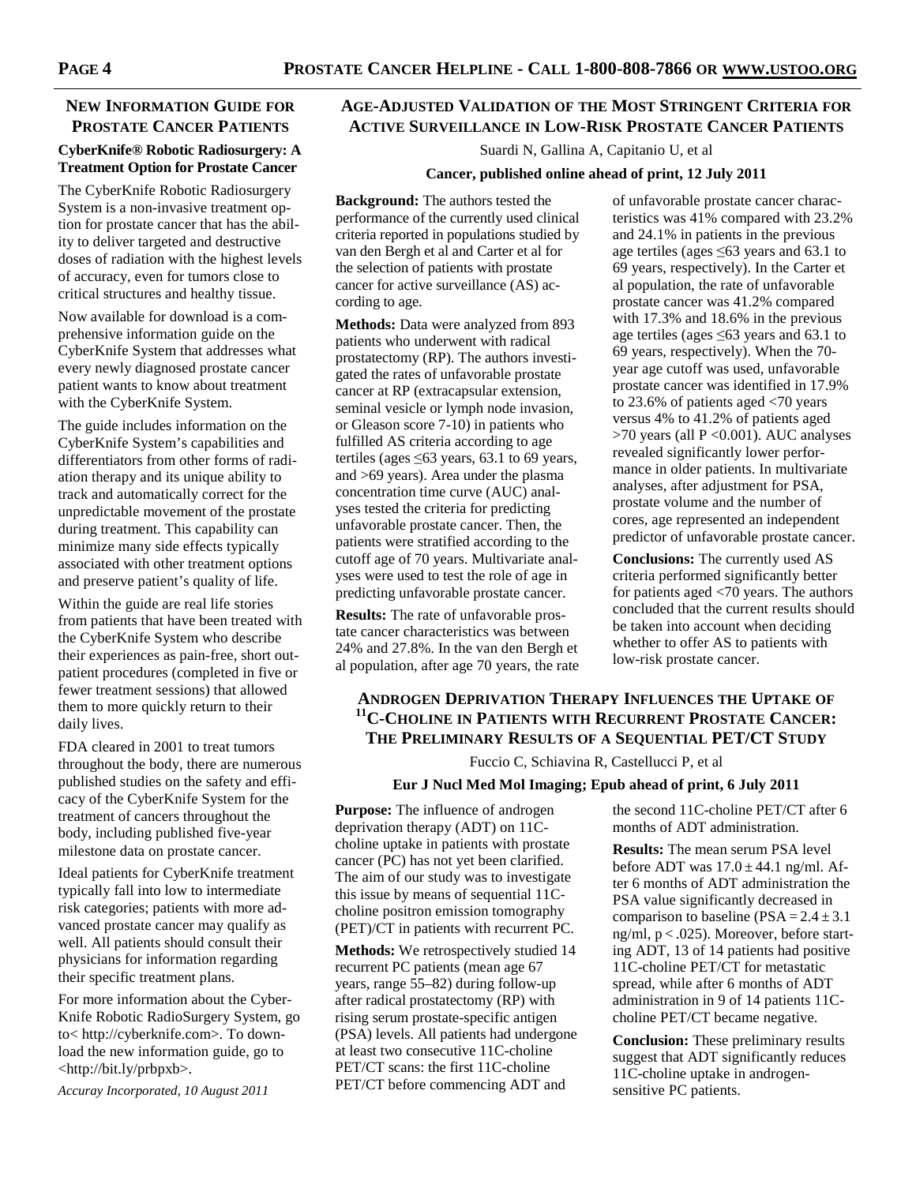# **NEW INFORMATION GUIDE FOR PROSTATE CANCER PATIENTS**

# **CyberKnife® Robotic Radiosurgery: A Treatment Option for Prostate Cancer**

The CyberKnife Robotic Radiosurgery System is a non-invasive treatment option for prostate cancer that has the ability to deliver targeted and destructive doses of radiation with the highest levels of accuracy, even for tumors close to critical structures and healthy tissue.

Now available for download is a comprehensive information guide on the CyberKnife System that addresses what every newly diagnosed prostate cancer patient wants to know about treatment with the CyberKnife System.

The guide includes information on the CyberKnife System's capabilities and differentiators from other forms of radiation therapy and its unique ability to track and automatically correct for the unpredictable movement of the prostate during treatment. This capability can minimize many side effects typically associated with other treatment options and preserve patient's quality of life.

Within the guide are real life stories from patients that have been treated with the CyberKnife System who describe their experiences as pain-free, short outpatient procedures (completed in five or fewer treatment sessions) that allowed them to more quickly return to their daily lives.

FDA cleared in 2001 to treat tumors throughout the body, there are numerous published studies on the safety and efficacy of the CyberKnife System for the treatment of cancers throughout the body, including published five-year milestone data on prostate cancer.

Ideal patients for CyberKnife treatment typically fall into low to intermediate risk categories; patients with more advanced prostate cancer may qualify as well. All patients should consult their physicians for information regarding their specific treatment plans.

For more information about the Cyber-Knife Robotic RadioSurgery System, go to< http://cyberknife.com>. To download the new information guide, go to <http://bit.ly/prbpxb>.

*Accuray Incorporated, 10 August 2011* 

# **AGE-ADJUSTED VALIDATION OF THE MOST STRINGENT CRITERIA FOR ACTIVE SURVEILLANCE IN LOW-RISK PROSTATE CANCER PATIENTS**

Suardi N, Gallina A, Capitanio U, et al

### **Cancer, published online ahead of print, 12 July 2011**

**Background:** The authors tested the performance of the currently used clinical criteria reported in populations studied by van den Bergh et al and Carter et al for the selection of patients with prostate cancer for active surveillance (AS) according to age.

**Methods:** Data were analyzed from 893 patients who underwent with radical prostatectomy (RP). The authors investigated the rates of unfavorable prostate cancer at RP (extracapsular extension, seminal vesicle or lymph node invasion, or Gleason score 7-10) in patients who fulfilled AS criteria according to age tertiles (ages  $\leq 63$  years, 63.1 to 69 years, and >69 years). Area under the plasma concentration time curve (AUC) analyses tested the criteria for predicting unfavorable prostate cancer. Then, the patients were stratified according to the cutoff age of 70 years. Multivariate analyses were used to test the role of age in predicting unfavorable prostate cancer.

**Results:** The rate of unfavorable prostate cancer characteristics was between 24% and 27.8%. In the van den Bergh et al population, after age 70 years, the rate

of unfavorable prostate cancer characteristics was 41% compared with 23.2% and 24.1% in patients in the previous age tertiles (ages ≤63 years and 63.1 to 69 years, respectively). In the Carter et al population, the rate of unfavorable prostate cancer was 41.2% compared with 17.3% and 18.6% in the previous age tertiles (ages ≤63 years and 63.1 to 69 years, respectively). When the 70 year age cutoff was used, unfavorable prostate cancer was identified in 17.9% to 23.6% of patients aged <70 years versus 4% to 41.2% of patients aged >70 years (all P <0.001). AUC analyses revealed significantly lower performance in older patients. In multivariate analyses, after adjustment for PSA, prostate volume and the number of cores, age represented an independent predictor of unfavorable prostate cancer.

**Conclusions:** The currently used AS criteria performed significantly better for patients aged <70 years. The authors concluded that the current results should be taken into account when deciding whether to offer AS to patients with low-risk prostate cancer.

# **ANDROGEN DEPRIVATION THERAPY INFLUENCES THE UPTAKE OF <sup>11</sup>C-CHOLINE IN PATIENTS WITH RECURRENT PROSTATE CANCER: THE PRELIMINARY RESULTS OF A SEQUENTIAL PET/CT STUDY**

Fuccio C, Schiavina R, Castellucci P, et al

# **Eur J Nucl Med Mol Imaging; Epub ahead of print, 6 July 2011**

**Purpose:** The influence of androgen deprivation therapy (ADT) on 11Ccholine uptake in patients with prostate cancer (PC) has not yet been clarified. The aim of our study was to investigate this issue by means of sequential 11Ccholine positron emission tomography (PET)/CT in patients with recurrent PC.

**Methods:** We retrospectively studied 14 recurrent PC patients (mean age 67 years, range 55–82) during follow-up after radical prostatectomy (RP) with rising serum prostate-specific antigen (PSA) levels. All patients had undergone at least two consecutive 11C-choline PET/CT scans: the first 11C-choline PET/CT before commencing ADT and

the second 11C-choline PET/CT after 6 months of ADT administration.

**Results:** The mean serum PSA level before ADT was  $17.0 \pm 44.1$  ng/ml. After 6 months of ADT administration the PSA value significantly decreased in comparison to baseline ( $PSA = 2.4 \pm 3.1$ ng/ml, p < .025). Moreover, before starting ADT, 13 of 14 patients had positive 11C-choline PET/CT for metastatic spread, while after 6 months of ADT administration in 9 of 14 patients 11Ccholine PET/CT became negative.

**Conclusion:** These preliminary results suggest that ADT significantly reduces 11C-choline uptake in androgensensitive PC patients.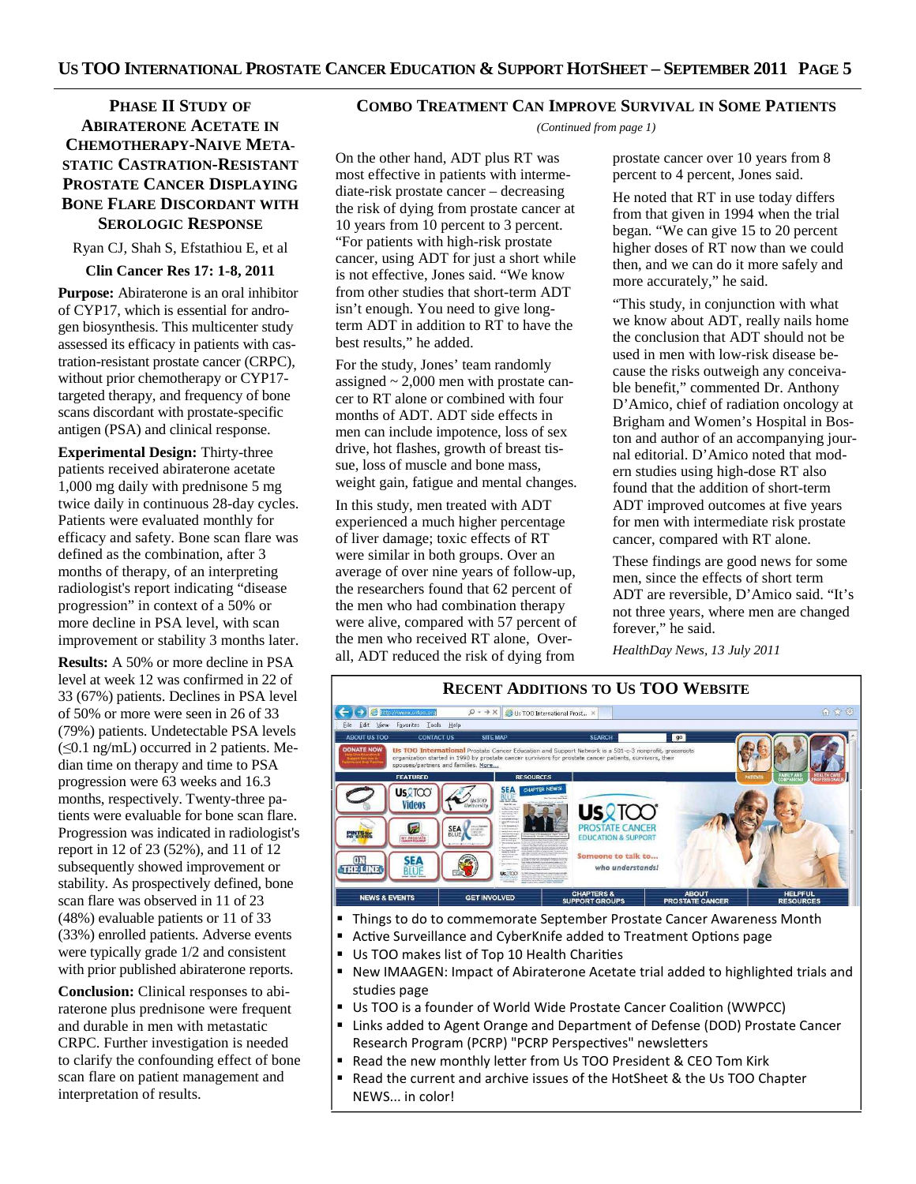# **PHASE II STUDY OF ABIRATERONE ACETATE IN CHEMOTHERAPY-NAIVE META-STATIC CASTRATION-RESISTANT PROSTATE CANCER DISPLAYING BONE FLARE DISCORDANT WITH SEROLOGIC RESPONSE**

Ryan CJ, Shah S, Efstathiou E, et al

#### **Clin Cancer Res 17: 1-8, 2011**

**Purpose:** Abiraterone is an oral inhibitor of CYP17, which is essential for androgen biosynthesis. This multicenter study assessed its efficacy in patients with castration-resistant prostate cancer (CRPC), without prior chemotherapy or CYP17 targeted therapy, and frequency of bone scans discordant with prostate-specific antigen (PSA) and clinical response.

**Experimental Design:** Thirty-three patients received abiraterone acetate 1,000 mg daily with prednisone 5 mg twice daily in continuous 28-day cycles. Patients were evaluated monthly for efficacy and safety. Bone scan flare was defined as the combination, after 3 months of therapy, of an interpreting radiologist's report indicating "disease progression" in context of a 50% or more decline in PSA level, with scan improvement or stability 3 months later.

**Results:** A 50% or more decline in PSA level at week 12 was confirmed in 22 of 33 (67%) patients. Declines in PSA level of 50% or more were seen in 26 of 33 (79%) patients. Undetectable PSA levels (≤0.1 ng/mL) occurred in 2 patients. Median time on therapy and time to PSA progression were 63 weeks and 16.3 months, respectively. Twenty-three patients were evaluable for bone scan flare. Progression was indicated in radiologist's report in 12 of 23 (52%), and 11 of 12 subsequently showed improvement or stability. As prospectively defined, bone scan flare was observed in 11 of 23 (48%) evaluable patients or 11 of 33 (33%) enrolled patients. Adverse events were typically grade 1/2 and consistent with prior published abiraterone reports.

**Conclusion:** Clinical responses to abiraterone plus prednisone were frequent and durable in men with metastatic CRPC. Further investigation is needed to clarify the confounding effect of bone scan flare on patient management and interpretation of results.

### **COMBO TREATMENT CAN IMPROVE SURVIVAL IN SOME PATIENTS**

*(Continued from page 1)* 

On the other hand, ADT plus RT was most effective in patients with intermediate-risk prostate cancer – decreasing the risk of dying from prostate cancer at 10 years from 10 percent to 3 percent. "For patients with high-risk prostate cancer, using ADT for just a short while is not effective, Jones said. "We know from other studies that short-term ADT isn't enough. You need to give longterm ADT in addition to RT to have the best results," he added.

For the study, Jones' team randomly assigned  $\sim 2,000$  men with prostate cancer to RT alone or combined with four months of ADT. ADT side effects in men can include impotence, loss of sex drive, hot flashes, growth of breast tissue, loss of muscle and bone mass, weight gain, fatigue and mental changes.

In this study, men treated with ADT experienced a much higher percentage of liver damage; toxic effects of RT were similar in both groups. Over an average of over nine years of follow-up, the researchers found that 62 percent of the men who had combination therapy were alive, compared with 57 percent of the men who received RT alone, Overall, ADT reduced the risk of dying from

prostate cancer over 10 years from 8 percent to 4 percent, Jones said.

He noted that RT in use today differs from that given in 1994 when the trial began. "We can give 15 to 20 percent higher doses of RT now than we could then, and we can do it more safely and more accurately," he said.

"This study, in conjunction with what we know about ADT, really nails home the conclusion that ADT should not be used in men with low-risk disease because the risks outweigh any conceivable benefit," commented Dr. Anthony D'Amico, chief of radiation oncology at Brigham and Women's Hospital in Boston and author of an accompanying journal editorial. D'Amico noted that modern studies using high-dose RT also found that the addition of short-term ADT improved outcomes at five years for men with intermediate risk prostate cancer, compared with RT alone.

These findings are good news for some men, since the effects of short term ADT are reversible, D'Amico said. "It's not three years, where men are changed forever," he said.

*HealthDay News, 13 July 2011* 

#### **RECENT ADDITIONS TO US TOO WEBSITE**  $\leftarrow$   $\rightarrow$   $\circ$   $\mathbb{R}$  $\boxed{\mathcal{P}$  +  $\rightarrow$  X  $\boxed{\mathcal{B}}$  Us TOO International Prost...  $\times$ Eile Edit View Favorites Tools Help ABOUT US TOO **CONTACT US**  $\sqrt{g}$ Us TOO International Prostate Cancer Education and Support Network is a 501-c-3 nonprofit, grassroor, approximation and the state cancer particle and the space space of the space of the space of the space space space space **FEATURED RESOURCES US** 2TOO **Videos US**QTOO  $\overline{r}$ **PROSTATE CANCER**<br>EDUCATION & SUPPORT SEA **PINTS for** one to talk to.. 511211112 **SEA** who understands! Us: TOO NEWS & EVENTS **GET INVOLVED** CHAPTERS &<br>SUPPORT GROUPS ABOUT<br>PROSTATE CANCER

- **Things to do to commemorate September Prostate Cancer Awareness Month**
- Active Surveillance and CyberKnife added to Treatment Options page<br>■ Us TOO makes list of Too 10 Health Charities
- Us TOO makes list of Top 10 Health Charities<br>• New IMAAGEN: Impact of Abiraterone Acetal
- New IMAAGEN: Impact of Abiraterone Acetate trial added to highlighted trials and studies page
- Us TOO is a founder of World Wide Prostate Cancer Coalition (WWPCC)
- Links added to Agent Orange and Department of Defense (DOD) Prostate Cancer Research Program (PCRP) "PCRP Perspectives" newsletters
- Read the new monthly letter from Us TOO President & CEO Tom Kirk
- Read the current and archive issues of the HotSheet & the Us TOO Chapter NEWS... in color!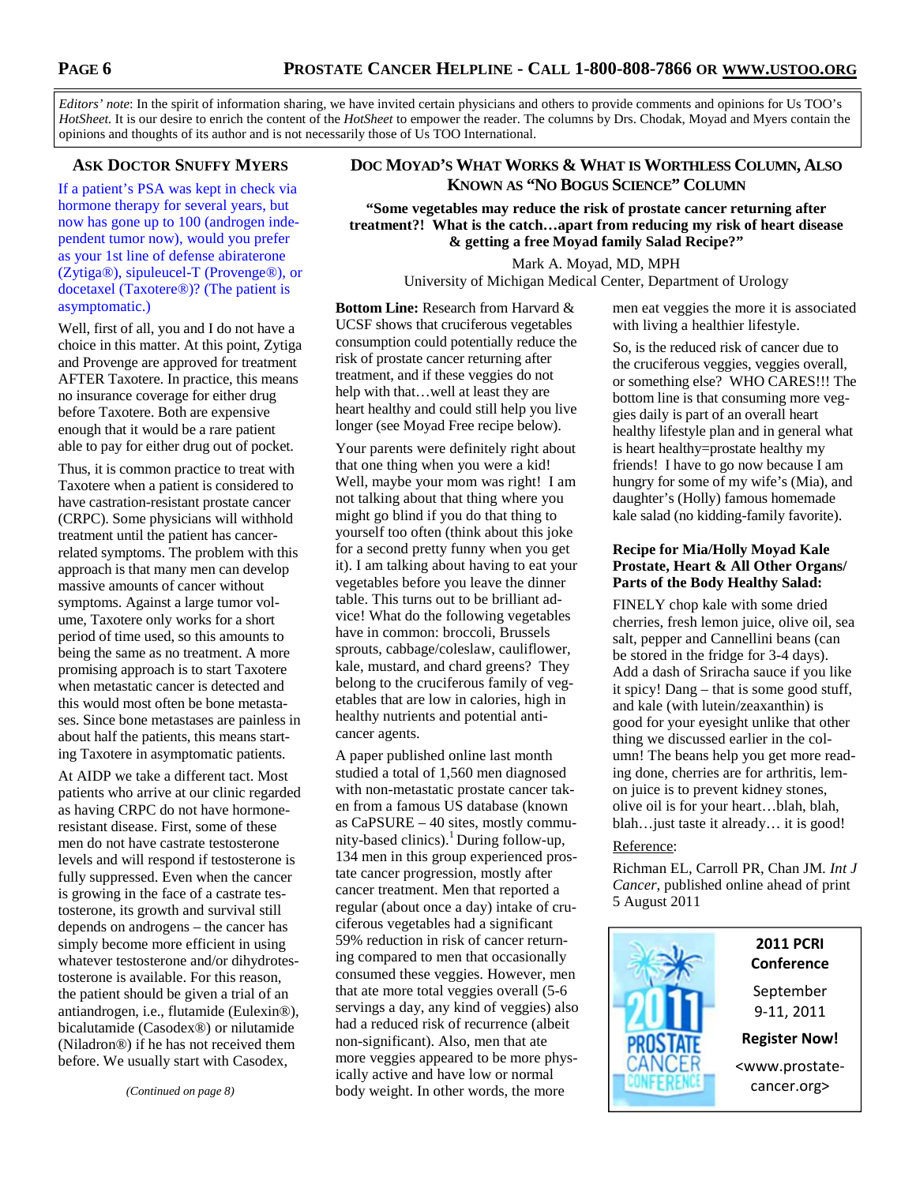*Editors' note*: In the spirit of information sharing, we have invited certain physicians and others to provide comments and opinions for Us TOO's *HotSheet.* It is our desire to enrich the content of the *HotSheet* to empower the reader. The columns by Drs. Chodak, Moyad and Myers contain the opinions and thoughts of its author and is not necessarily those of Us TOO International.

# **ASK DOCTOR SNUFFY MYERS**

If a patient's PSA was kept in check via hormone therapy for several years, but now has gone up to 100 (androgen independent tumor now), would you prefer as your 1st line of defense abiraterone (Zytiga®), sipuleucel-T (Provenge®), or docetaxel (Taxotere®)? (The patient is asymptomatic.)

Well, first of all, you and I do not have a choice in this matter. At this point, Zytiga and Provenge are approved for treatment AFTER Taxotere. In practice, this means no insurance coverage for either drug before Taxotere. Both are expensive enough that it would be a rare patient able to pay for either drug out of pocket.

Thus, it is common practice to treat with Taxotere when a patient is considered to have castration-resistant prostate cancer (CRPC). Some physicians will withhold treatment until the patient has cancerrelated symptoms. The problem with this approach is that many men can develop massive amounts of cancer without symptoms. Against a large tumor volume, Taxotere only works for a short period of time used, so this amounts to being the same as no treatment. A more promising approach is to start Taxotere when metastatic cancer is detected and this would most often be bone metastases. Since bone metastases are painless in about half the patients, this means starting Taxotere in asymptomatic patients.

At AIDP we take a different tact. Most patients who arrive at our clinic regarded as having CRPC do not have hormoneresistant disease. First, some of these men do not have castrate testosterone levels and will respond if testosterone is fully suppressed. Even when the cancer is growing in the face of a castrate testosterone, its growth and survival still depends on androgens – the cancer has simply become more efficient in using whatever testosterone and/or dihydrotestosterone is available. For this reason, the patient should be given a trial of an antiandrogen, i.e., flutamide (Eulexin®), bicalutamide (Casodex®) or nilutamide (Niladron®) if he has not received them before. We usually start with Casodex,

# **DOC MOYAD'S WHAT WORKS & WHAT IS WORTHLESS COLUMN, ALSO KNOWN AS "NO BOGUS SCIENCE" COLUMN**

**"Some vegetables may reduce the risk of prostate cancer returning after treatment?! What is the catch…apart from reducing my risk of heart disease & getting a free Moyad family Salad Recipe?"** 

> Mark A. Moyad, MD, MPH University of Michigan Medical Center, Department of Urology

**Bottom Line:** Research from Harvard & UCSF shows that cruciferous vegetables consumption could potentially reduce the risk of prostate cancer returning after treatment, and if these veggies do not help with that…well at least they are heart healthy and could still help you live longer (see Moyad Free recipe below).

Your parents were definitely right about that one thing when you were a kid! Well, maybe your mom was right! I am not talking about that thing where you might go blind if you do that thing to yourself too often (think about this joke for a second pretty funny when you get it). I am talking about having to eat your vegetables before you leave the dinner table. This turns out to be brilliant advice! What do the following vegetables have in common: broccoli, Brussels sprouts, cabbage/coleslaw, cauliflower, kale, mustard, and chard greens? They belong to the cruciferous family of vegetables that are low in calories, high in healthy nutrients and potential anticancer agents.

A paper published online last month studied a total of 1,560 men diagnosed with non-metastatic prostate cancer taken from a famous US database (known as CaPSURE – 40 sites, mostly community-based clinics).<sup>1</sup> During follow-up, 134 men in this group experienced prostate cancer progression, mostly after cancer treatment. Men that reported a regular (about once a day) intake of cruciferous vegetables had a significant 59% reduction in risk of cancer returning compared to men that occasionally consumed these veggies. However, men that ate more total veggies overall (5-6 servings a day, any kind of veggies) also had a reduced risk of recurrence (albeit non-significant). Also, men that ate more veggies appeared to be more physically active and have low or normal body weight. In other words, the more

with living a healthier lifestyle. So, is the reduced risk of cancer due to the cruciferous veggies, veggies overall, or something else? WHO CARES!!! The bottom line is that consuming more veggies daily is part of an overall heart healthy lifestyle plan and in general what is heart healthy=prostate healthy my

men eat veggies the more it is associated

friends! I have to go now because I am hungry for some of my wife's (Mia), and daughter's (Holly) famous homemade kale salad (no kidding-family favorite).

# **Recipe for Mia/Holly Moyad Kale Prostate, Heart & All Other Organs/ Parts of the Body Healthy Salad:**

FINELY chop kale with some dried cherries, fresh lemon juice, olive oil, sea salt, pepper and Cannellini beans (can be stored in the fridge for 3-4 days). Add a dash of Sriracha sauce if you like it spicy! Dang – that is some good stuff, and kale (with lutein/zeaxanthin) is good for your eyesight unlike that other thing we discussed earlier in the column! The beans help you get more reading done, cherries are for arthritis, lemon juice is to prevent kidney stones, olive oil is for your heart…blah, blah, blah…just taste it already… it is good!

#### Reference:

Richman EL, Carroll PR, Chan JM*. Int J Cancer*, published online ahead of print 5 August 2011



# **2011 PCRI Conference**

September 9-11, 2011

**Register Now!** 

<www.prostatecancer.org>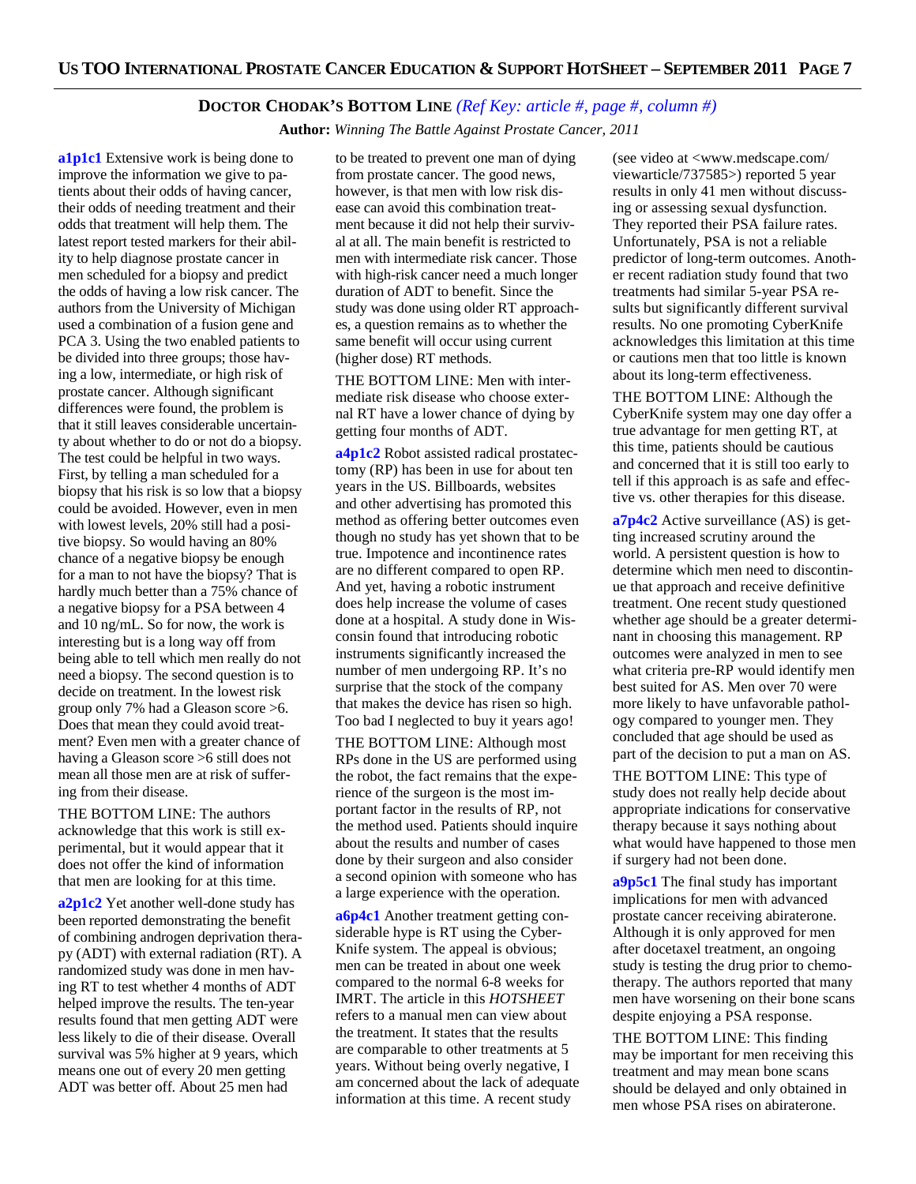### **DOCTOR CHODAK'S BOTTOM LINE** *(Ref Key: article #, page #, column #)*

 **Author:** *Winning The Battle Against Prostate Cancer, 2011*

**a1p1c1** Extensive work is being done to improve the information we give to patients about their odds of having cancer, their odds of needing treatment and their odds that treatment will help them. The latest report tested markers for their ability to help diagnose prostate cancer in men scheduled for a biopsy and predict the odds of having a low risk cancer. The authors from the University of Michigan used a combination of a fusion gene and PCA 3. Using the two enabled patients to be divided into three groups; those having a low, intermediate, or high risk of prostate cancer. Although significant differences were found, the problem is that it still leaves considerable uncertainty about whether to do or not do a biopsy. The test could be helpful in two ways. First, by telling a man scheduled for a biopsy that his risk is so low that a biopsy could be avoided. However, even in men with lowest levels, 20% still had a positive biopsy. So would having an 80% chance of a negative biopsy be enough for a man to not have the biopsy? That is hardly much better than a 75% chance of a negative biopsy for a PSA between 4 and 10 ng/mL. So for now, the work is interesting but is a long way off from being able to tell which men really do not need a biopsy. The second question is to decide on treatment. In the lowest risk group only 7% had a Gleason score >6. Does that mean they could avoid treatment? Even men with a greater chance of having a Gleason score >6 still does not mean all those men are at risk of suffering from their disease.

THE BOTTOM LINE: The authors acknowledge that this work is still experimental, but it would appear that it does not offer the kind of information that men are looking for at this time.

**a2p1c2** Yet another well-done study has been reported demonstrating the benefit of combining androgen deprivation therapy (ADT) with external radiation (RT). A randomized study was done in men having RT to test whether 4 months of ADT helped improve the results. The ten-year results found that men getting ADT were less likely to die of their disease. Overall survival was 5% higher at 9 years, which means one out of every 20 men getting ADT was better off. About 25 men had

to be treated to prevent one man of dying from prostate cancer. The good news, however, is that men with low risk disease can avoid this combination treatment because it did not help their survival at all. The main benefit is restricted to men with intermediate risk cancer. Those with high-risk cancer need a much longer duration of ADT to benefit. Since the study was done using older RT approaches, a question remains as to whether the same benefit will occur using current (higher dose) RT methods.

THE BOTTOM LINE: Men with intermediate risk disease who choose external RT have a lower chance of dying by getting four months of ADT.

**a4p1c2** Robot assisted radical prostatectomy (RP) has been in use for about ten years in the US. Billboards, websites and other advertising has promoted this method as offering better outcomes even though no study has yet shown that to be true. Impotence and incontinence rates are no different compared to open RP. And yet, having a robotic instrument does help increase the volume of cases done at a hospital. A study done in Wisconsin found that introducing robotic instruments significantly increased the number of men undergoing RP. It's no surprise that the stock of the company that makes the device has risen so high. Too bad I neglected to buy it years ago!

THE BOTTOM LINE: Although most RPs done in the US are performed using the robot, the fact remains that the experience of the surgeon is the most important factor in the results of RP, not the method used. Patients should inquire about the results and number of cases done by their surgeon and also consider a second opinion with someone who has a large experience with the operation.

**a6p4c1** Another treatment getting considerable hype is RT using the Cyber-Knife system. The appeal is obvious; men can be treated in about one week compared to the normal 6-8 weeks for IMRT. The article in this *HOTSHEET*  refers to a manual men can view about the treatment. It states that the results are comparable to other treatments at 5 years. Without being overly negative, I am concerned about the lack of adequate information at this time. A recent study

(see video at <www.medscape.com/ viewarticle/737585>) reported 5 year results in only 41 men without discussing or assessing sexual dysfunction. They reported their PSA failure rates. Unfortunately, PSA is not a reliable predictor of long-term outcomes. Another recent radiation study found that two treatments had similar 5-year PSA results but significantly different survival results. No one promoting CyberKnife acknowledges this limitation at this time or cautions men that too little is known about its long-term effectiveness.

THE BOTTOM LINE: Although the CyberKnife system may one day offer a true advantage for men getting RT, at this time, patients should be cautious and concerned that it is still too early to tell if this approach is as safe and effective vs. other therapies for this disease.

**a7p4c2** Active surveillance (AS) is getting increased scrutiny around the world. A persistent question is how to determine which men need to discontinue that approach and receive definitive treatment. One recent study questioned whether age should be a greater determinant in choosing this management. RP outcomes were analyzed in men to see what criteria pre-RP would identify men best suited for AS. Men over 70 were more likely to have unfavorable pathology compared to younger men. They concluded that age should be used as part of the decision to put a man on AS.

THE BOTTOM LINE: This type of study does not really help decide about appropriate indications for conservative therapy because it says nothing about what would have happened to those men if surgery had not been done.

**a9p5c1** The final study has important implications for men with advanced prostate cancer receiving abiraterone. Although it is only approved for men after docetaxel treatment, an ongoing study is testing the drug prior to chemotherapy. The authors reported that many men have worsening on their bone scans despite enjoying a PSA response.

THE BOTTOM LINE: This finding may be important for men receiving this treatment and may mean bone scans should be delayed and only obtained in men whose PSA rises on abiraterone.